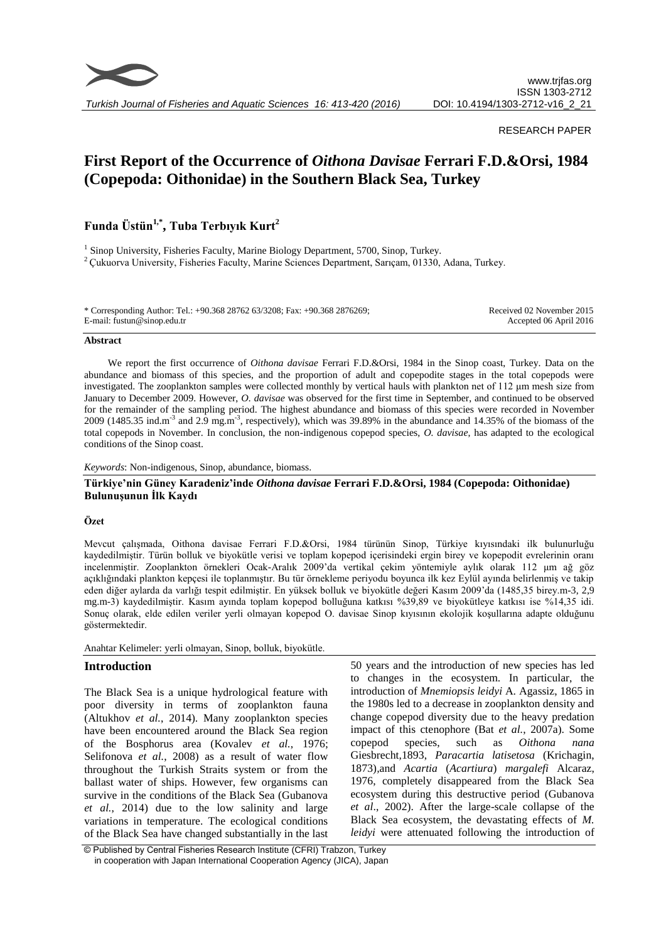

*Turkish Journal of Fisheries and Aquatic Sciences 16: 413-420 (2016)*

## RESEARCH PAPER

# **First Report of the Occurrence of** *Oithona Davisae* **Ferrari F.D.&Orsi, 1984 (Copepoda: Oithonidae) in the Southern Black Sea, Turkey**

## **Funda Üstün1,\* , Tuba Terbıyık Kurt<sup>2</sup>**

<sup>1</sup> Sinop University, Fisheries Faculty, Marine Biology Department, 5700, Sinop, Turkey. <sup>2</sup> Cukuorva University, Fisheries Faculty, Marine Sciences Department, Sarıçam, 01330, Adana, Turkey.

| * Corresponding Author: Tel.: +90.368 28762 63/3208; Fax: +90.368 2876269; | Received 02 November 2015 |
|----------------------------------------------------------------------------|---------------------------|
| E-mail: fustun@sinop.edu.tr                                                | Accepted 06 April 2016    |

#### **Abstract**

We report the first occurrence of *Oithona davisae* Ferrari F.D.&Orsi, 1984 in the Sinop coast, Turkey. Data on the abundance and biomass of this species, and the proportion of adult and copepodite stages in the total copepods were investigated. The zooplankton samples were collected monthly by vertical hauls with plankton net of 112 μm mesh size from January to December 2009. However, *O. davisae* was observed for the first time in September, and continued to be observed for the remainder of the sampling period. The highest abundance and biomass of this species were recorded in November 2009 (1485.35 ind.m<sup>-3</sup> and 2.9 mg.m<sup>-3</sup>, respectively), which was 39.89% in the abundance and 14.35% of the biomass of the total copepods in November. In conclusion, the non-indigenous copepod species, *O. davisae*, has adapted to the ecological conditions of the Sinop coast.

## *Keywords*: Non-indigenous, Sinop, abundance, biomass.

## **Türkiye'nin Güney Karadeniz'inde** *Oithona davisae* **Ferrari F.D.&Orsi, 1984 (Copepoda: Oithonidae) Bulunuşunun İlk Kaydı**

## **Özet**

Mevcut çalışmada, Oithona davisae Ferrari F.D.&Orsi, 1984 türünün Sinop, Türkiye kıyısındaki ilk bulunurluğu kaydedilmiştir. Türün bolluk ve biyokütle verisi ve toplam kopepod içerisindeki ergin birey ve kopepodit evrelerinin oranı incelenmiştir. Zooplankton örnekleri Ocak-Aralık 2009'da vertikal çekim yöntemiyle aylık olarak 112 μm ağ göz açıklığındaki plankton kepçesi ile toplanmıştır. Bu tür örnekleme periyodu boyunca ilk kez Eylül ayında belirlenmiş ve takip eden diğer aylarda da varlığı tespit edilmiştir. En yüksek bolluk ve biyokütle değeri Kasım 2009'da (1485,35 birey.m-3, 2,9 mg.m-3) kaydedilmiştir. Kasım ayında toplam kopepod bolluğuna katkısı %39,89 ve biyokütleye katkısı ise %14,35 idi. Sonuç olarak, elde edilen veriler yerli olmayan kopepod O. davisae Sinop kıyısının ekolojik koşullarına adapte olduğunu göstermektedir.

Anahtar Kelimeler: yerli olmayan, Sinop, bolluk, biyokütle.

## **Introduction**

The Black Sea is a unique hydrological feature with poor diversity in terms of zooplankton fauna (Altukhov *et al.*, 2014). Many zooplankton species have been encountered around the Black Sea region of the Bosphorus area (Kovalev *et al.*, 1976; Selifonova *et al.*, 2008) as a result of water flow throughout the Turkish Straits system or from the ballast water of ships. However, few organisms can survive in the conditions of the Black Sea (Gubanova *et al.*, 2014) due to the low salinity and large variations in temperature. The ecological conditions of the Black Sea have changed substantially in the last

50 years and the introduction of new species has led to changes in the ecosystem. In particular, the introduction of *Mnemiopsis leidyi* A. Agassiz, 1865 in the 1980s led to a decrease in zooplankton density and change copepod diversity due to the heavy predation impact of this ctenophore (Bat *et al.*, 2007a). Some copepod species, such as *Oithona nana* Giesbrecht*,*1893, *Paracartia latisetosa* (Krichagin, 1873)*,*and *Acartia* (*Acartiura*) *margalefi* Alcaraz, 1976, completely disappeared from the Black Sea ecosystem during this destructive period (Gubanova *et al*., 2002). After the large-scale collapse of the Black Sea ecosystem, the devastating effects of *M. leidyi* were attenuated following the introduction of

© Published by Central Fisheries Research Institute (CFRI) Trabzon, Turkey in cooperation with Japan International Cooperation Agency (JICA), Japan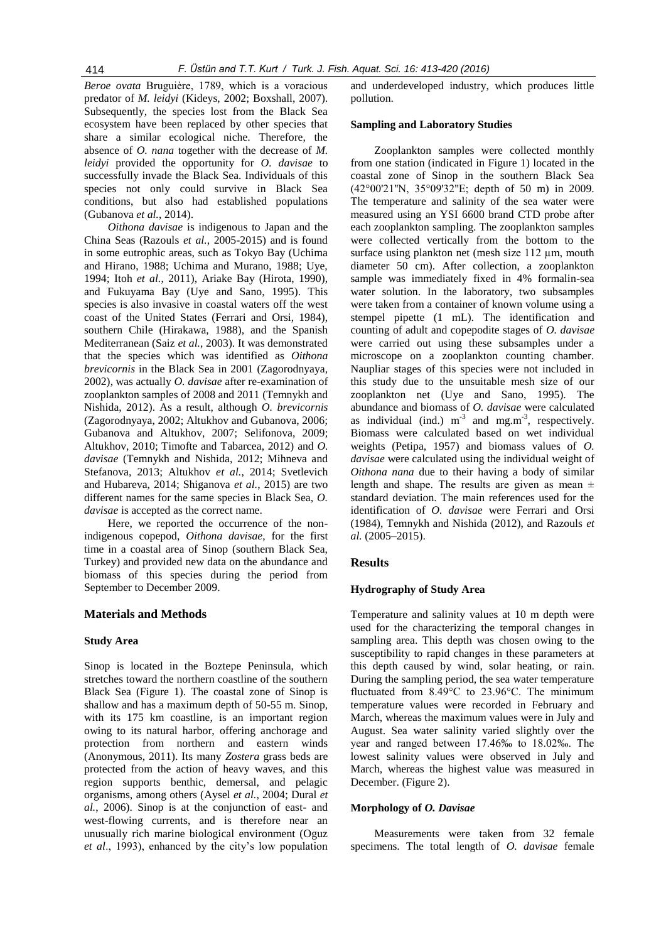*Beroe ovata* Bruguière, 1789, which is a voracious predator of *M. leidyi* (Kideys, 2002; Boxshall, 2007). Subsequently, the species lost from the Black Sea ecosystem have been replaced by other species that share a similar ecological niche. Therefore, the absence of *O. nana* together with the decrease of *M. leidyi* provided the opportunity for *O. davisae* to successfully invade the Black Sea. Individuals of this species not only could survive in Black Sea conditions, but also had established populations (Gubanova *et al.*, 2014).

*Oithona davisae* is indigenous to Japan and the China Seas (Razouls *et al.*, 2005-2015) and is found in some eutrophic areas, such as Tokyo Bay (Uchima and Hirano, 1988; Uchima and Murano, 1988; Uye, 1994; Itoh *et al.*, 2011), Ariake Bay (Hirota, 1990), and Fukuyama Bay (Uye and Sano, 1995). This species is also invasive in coastal waters off the west coast of the United States (Ferrari and Orsi, 1984), southern Chile (Hirakawa, 1988), and the Spanish Mediterranean (Saiz *et al.*, 2003). It was demonstrated that the species which was identified as *Oithona brevicornis* in the Black Sea in 2001 (Zagorodnyaya, 2002), was actually *O. davisae* after re-examination of zooplankton samples of 2008 and 2011 (Temnykh and Nishida, 2012). As a result, although *O. brevicornis*  (Zagorodnyaya, 2002; Altukhov and Gubanova, 2006; Gubanova and Altukhov, 2007; Selifonova, 2009; Altukhov, 2010; Timofte and Tabarcea, 2012) and *O. davisae* (Temnykh and Nishida, 2012; Mihneva and Stefanova, 2013; Altukhov *et al.*, 2014; Svetlevich and Hubareva, 2014; Shiganova *et al.*, 2015) are two different names for the same species in Black Sea, *O. davisae* is accepted as the correct name.

Here, we reported the occurrence of the nonindigenous copepod, *Oithona davisae*, for the first time in a coastal area of Sinop (southern Black Sea, Turkey) and provided new data on the abundance and biomass of this species during the period from September to December 2009.

## **Materials and Methods**

#### **Study Area**

Sinop is located in the Boztepe Peninsula, which stretches toward the northern coastline of the southern Black Sea (Figure 1). The coastal zone of Sinop is shallow and has a maximum depth of 50-55 m. Sinop, with its 175 km coastline, is an important region owing to its natural harbor, offering anchorage and protection from northern and eastern winds (Anonymous, 2011). Its many *Zostera* grass beds are protected from the action of heavy waves, and this region supports benthic, demersal, and pelagic organisms, among others (Aysel *et al.*, 2004; Dural *et al.*, 2006). Sinop is at the conjunction of east- and west-flowing currents, and is therefore near an unusually rich marine biological environment (Oguz *et al*., 1993), enhanced by the city's low population

and underdeveloped industry, which produces little pollution.

#### **Sampling and Laboratory Studies**

Zooplankton samples were collected monthly from one station (indicated in Figure 1) located in the coastal zone of Sinop in the southern Black Sea (42°00'21''N, 35°09'32''E; depth of 50 m) in 2009. The temperature and salinity of the sea water were measured using an YSI 6600 brand CTD probe after each zooplankton sampling. The zooplankton samples were collected vertically from the bottom to the surface using plankton net (mesh size 112 µm, mouth diameter 50 cm). After collection, a zooplankton sample was immediately fixed in 4% formalin-sea water solution. In the laboratory, two subsamples were taken from a container of known volume using a stempel pipette (1 mL). The identification and counting of adult and copepodite stages of *O. davisae* were carried out using these subsamples under a microscope on a zooplankton counting chamber. Naupliar stages of this species were not included in this study due to the unsuitable mesh size of our zooplankton net (Uye and Sano, 1995). The abundance and biomass of *O. davisae* were calculated as individual (ind.)  $m^{-3}$  and  $mg.m^{-3}$ , respectively. Biomass were calculated based on wet individual weights (Petipa, 1957) and biomass values of *O. davisae* were calculated using the individual weight of *Oithona nana* due to their having a body of similar length and shape. The results are given as mean  $\pm$ standard deviation. The main references used for the identification of *O. davisae* were Ferrari and Orsi (1984), Temnykh and Nishida (2012), and Razouls *et al.* (2005–2015).

## **Results**

## **Hydrography of Study Area**

Temperature and salinity values at 10 m depth were used for the characterizing the temporal changes in sampling area. This depth was chosen owing to the susceptibility to rapid changes in these parameters at this depth caused by wind, solar heating, or rain. During the sampling period, the sea water temperature fluctuated from 8.49°C to 23.96°C. The minimum temperature values were recorded in February and March, whereas the maximum values were in July and August. Sea water salinity varied slightly over the year and ranged between 17.46‰ to 18.02‰. The lowest salinity values were observed in July and March, whereas the highest value was measured in December. (Figure 2).

### **Morphology of** *O. Davisae*

Measurements were taken from 32 female specimens. The total length of *O. davisae* female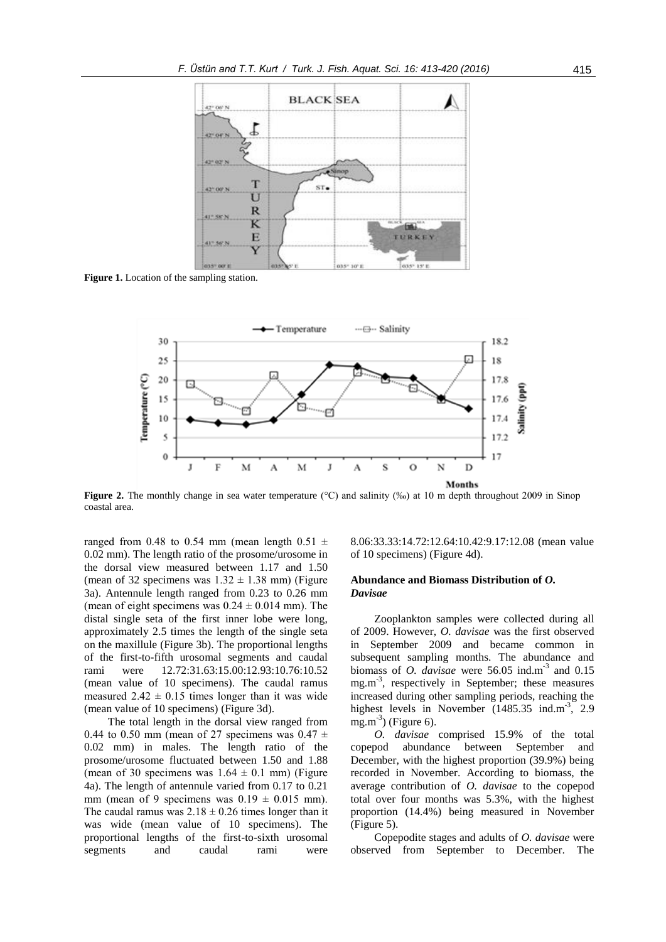

**Figure 1.** Location of the sampling station.



**Figure 2.** The monthly change in sea water temperature (°C) and salinity (‰) at 10 m depth throughout 2009 in Sinop coastal area.

ranged from 0.48 to 0.54 mm (mean length 0.51  $\pm$ 0.02 mm). The length ratio of the prosome/urosome in the dorsal view measured between 1.17 and 1.50 (mean of 32 specimens was  $1.32 \pm 1.38$  mm) (Figure 3a). Antennule length ranged from 0.23 to 0.26 mm (mean of eight specimens was  $0.24 \pm 0.014$  mm). The distal single seta of the first inner lobe were long, approximately 2.5 times the length of the single seta on the maxillule (Figure 3b). The proportional lengths of the first-to-fifth urosomal segments and caudal rami were 12.72:31.63:15.00:12.93:10.76:10.52 (mean value of 10 specimens). The caudal ramus measured  $2.42 \pm 0.15$  times longer than it was wide (mean value of 10 specimens) (Figure 3d).

The total length in the dorsal view ranged from 0.44 to 0.50 mm (mean of 27 specimens was  $0.47 \pm$ 0.02 mm) in males. The length ratio of the prosome/urosome fluctuated between 1.50 and 1.88 (mean of 30 specimens was  $1.64 \pm 0.1$  mm) (Figure 4a). The length of antennule varied from 0.17 to 0.21 mm (mean of 9 specimens was  $0.19 \pm 0.015$  mm). The caudal ramus was  $2.18 \pm 0.26$  times longer than it was wide (mean value of 10 specimens). The proportional lengths of the first-to-sixth urosomal segments and caudal rami were

8.06:33.33:14.72:12.64:10.42:9.17:12.08 (mean value of 10 specimens) (Figure 4d).

## **Abundance and Biomass Distribution of** *O. Davisae*

Zooplankton samples were collected during all of 2009. However, *O. davisae* was the first observed in September 2009 and became common in subsequent sampling months. The abundance and biomass of *O. davisae* were  $56.05$  ind.m<sup>-3</sup> and  $0.15$ mg.m<sup>-3</sup>, respectively in September; these measures increased during other sampling periods, reaching the highest levels in November (1485.35 ind.m<sup>-3</sup>, 2.9  $mg.m<sup>-3</sup>$  (Figure 6).

*O. davisae* comprised 15.9% of the total copepod abundance between September and December, with the highest proportion (39.9%) being recorded in November. According to biomass, the average contribution of *O. davisae* to the copepod total over four months was 5.3%, with the highest proportion (14.4%) being measured in November (Figure 5).

Copepodite stages and adults of *O. davisae* were observed from September to December. The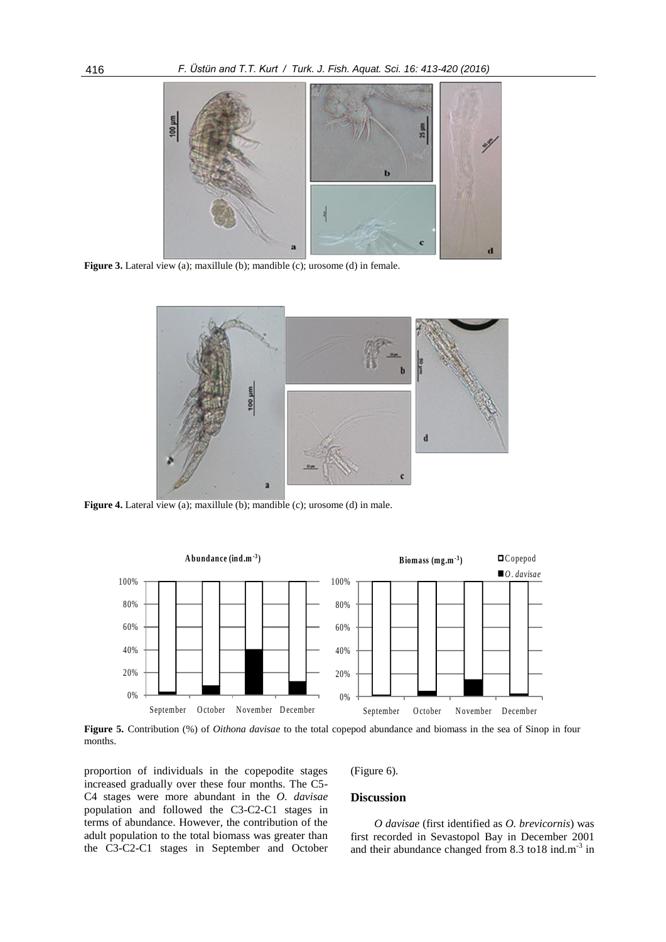

**Figure 3.** Lateral view (a); maxillule (b); mandible (c); urosome (d) in female.



**Figure 4.** Lateral view (a); maxillule (b); mandible (c); urosome (d) in male.



**Figure 5.** Contribution (%) of *Oithona davisae* to the total copepod abundance and biomass in the sea of Sinop in four months.

proportion of individuals in the copepodite stages increased gradually over these four months. The C5- C4 stages were more abundant in the *O. davisae*  population and followed the C3-C2-C1 stages in terms of abundance. However, the contribution of the adult population to the total biomass was greater than the C3-C2-C1 stages in September and October (Figure 6).

## **Discussion**

*O davisae* (first identified as *O. brevicornis*) was first recorded in Sevastopol Bay in December 2001 and their abundance changed from  $8.3$  to  $18$  ind.m<sup>-3</sup> in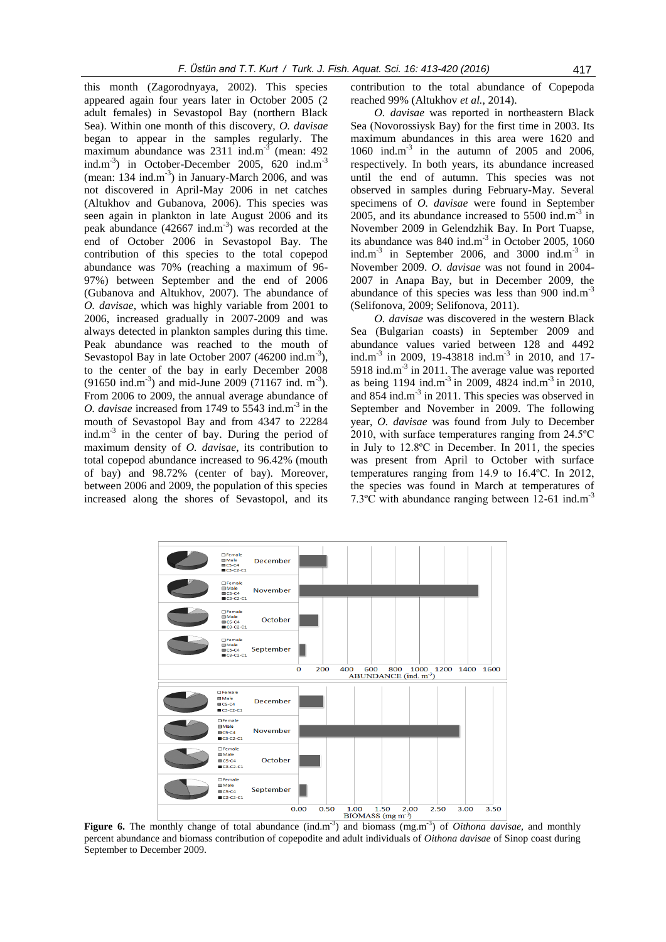this month (Zagorodnyaya, 2002). This species appeared again four years later in October 2005 (2 adult females) in Sevastopol Bay (northern Black Sea). Within one month of this discovery, *O. davisae* began to appear in the samples regularly. The maximum abundance was  $2311$  ind.m<sup>-3</sup> (mean: 492) ind.m<sup>-3</sup>) in October-December 2005, 620 ind.m<sup>-3</sup>  $(mean: 134 ind.m<sup>-3</sup>)$  in January-March 2006, and was not discovered in April-May 2006 in net catches (Altukhov and Gubanova, 2006). This species was seen again in plankton in late August 2006 and its peak abundance (42667 ind.m<sup>-3</sup>) was recorded at the end of October 2006 in Sevastopol Bay. The contribution of this species to the total copepod abundance was 70% (reaching a maximum of 96- 97%) between September and the end of 2006 (Gubanova and Altukhov, 2007). The abundance of *O. davisae*, which was highly variable from 2001 to 2006, increased gradually in 2007-2009 and was always detected in plankton samples during this time. Peak abundance was reached to the mouth of Sevastopol Bay in late October 2007 (46200 ind. $m^{-3}$ ), to the center of the bay in early December 2008  $(91650 \text{ ind.m}^{-3})$  and mid-June 2009 (71167 ind. m<sup>-3</sup>). From 2006 to 2009, the annual average abundance of *O. davisae* increased from 1749 to  $5543$  ind.m<sup>-3</sup> in the mouth of Sevastopol Bay and from 4347 to 22284 ind.m<sup>-3</sup> in the center of bay. During the period of maximum density of *O. davisae*, its contribution to total copepod abundance increased to 96.42% (mouth of bay) and 98.72% (center of bay). Moreover, between 2006 and 2009, the population of this species increased along the shores of Sevastopol, and its

contribution to the total abundance of Copepoda reached 99% (Altukhov *et al.*, 2014).

*O. davisae* was reported in northeastern Black Sea (Novorossiysk Bay) for the first time in 2003. Its maximum abundances in this area were 1620 and 1060 ind.m-3 in the autumn of 2005 and 2006, respectively. In both years, its abundance increased until the end of autumn. This species was not observed in samples during February-May. Several specimens of *O. davisae* were found in September 2005, and its abundance increased to  $5500$  ind.m<sup>-3</sup> in November 2009 in Gelendzhik Bay. In Port Tuapse, its abundance was  $840$  ind.m<sup>-3</sup> in October 2005, 1060 ind.m<sup>-3</sup> in September 2006, and 3000 ind.m<sup>-3</sup> in November 2009. *O. davisae* was not found in 2004- 2007 in Anapa Bay, but in December 2009, the abundance of this species was less than 900 ind. $m^{-3}$ (Selifonova, 2009; Selifonova, 2011).

*O. davisae* was discovered in the western Black Sea (Bulgarian coasts) in September 2009 and abundance values varied between 128 and 4492 ind.m<sup>-3</sup> in 2009, 19-43818 ind.m<sup>-3</sup> in 2010, and 17-5918 ind. $m<sup>-3</sup>$  in 2011. The average value was reported as being  $1194$  ind.m<sup>-3</sup> in 2009, 4824 ind.m<sup>-3</sup> in 2010, and 854 ind.m<sup>-3</sup> in 2011. This species was observed in September and November in 2009. The following year, *O. davisae* was found from July to December 2010, with surface temperatures ranging from 24.5ºC in July to 12.8ºC in December. In 2011, the species was present from April to October with surface temperatures ranging from 14.9 to 16.4ºC. In 2012, the species was found in March at temperatures of 7.3<sup>o</sup>C with abundance ranging between 12-61 ind.m<sup>-3</sup>



Figure 6. The monthly change of total abundance (ind.m<sup>-3</sup>) and biomass (mg.m<sup>-3</sup>) of *Oithona davisae*, and monthly percent abundance and biomass contribution of copepodite and adult individuals of *Oithona davisae* of Sinop coast during September to December 2009.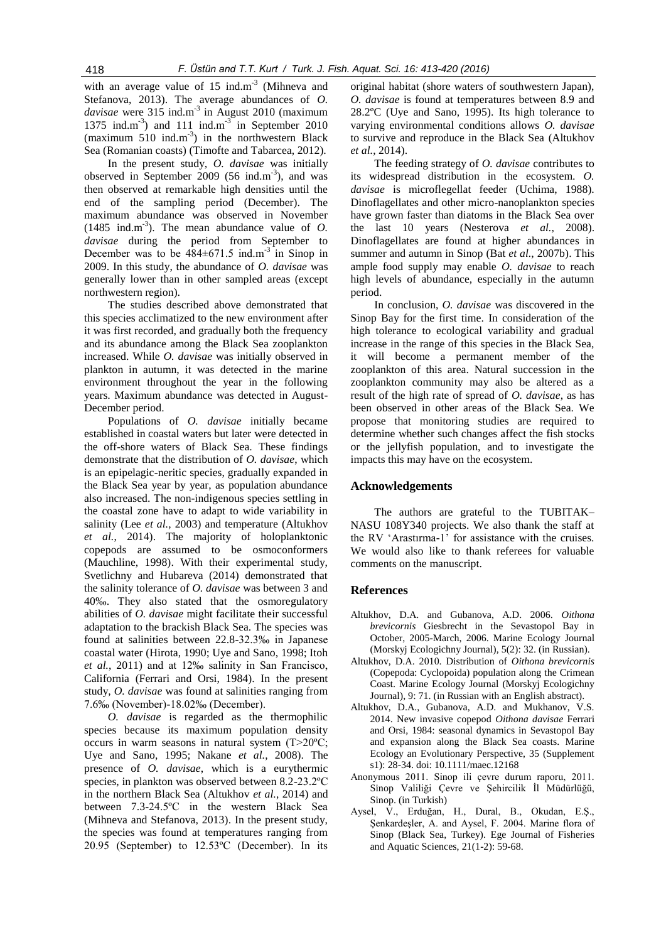with an average value of  $15$  ind.m<sup>-3</sup> (Mihneva and Stefanova, 2013). The average abundances of *O.*  davisae were 315 ind.m<sup>-3</sup> in August 2010 (maximum 1375 ind.m<sup>-3</sup>) and 111 ind.m<sup>-3</sup> in September 2010 (maximum 510 ind.m<sup>-3</sup>) in the northwestern Black Sea (Romanian coasts) (Timofte and Tabarcea, 2012).

In the present study, *O. davisae* was initially observed in September 2009 (56 ind.m<sup>-3</sup>), and was then observed at remarkable high densities until the end of the sampling period (December). The maximum abundance was observed in November  $(1485 \text{ ind.m}^3)$ . The mean abundance value of *O*. *davisae* during the period from September to December was to be  $484 \pm 671.5$  ind.m<sup>-3</sup> in Sinop in 2009. In this study, the abundance of *O. davisae* was generally lower than in other sampled areas (except northwestern region).

The studies described above demonstrated that this species acclimatized to the new environment after it was first recorded, and gradually both the frequency and its abundance among the Black Sea zooplankton increased. While *O. davisae* was initially observed in plankton in autumn, it was detected in the marine environment throughout the year in the following years. Maximum abundance was detected in August-December period.

Populations of *O. davisae* initially became established in coastal waters but later were detected in the off-shore waters of Black Sea. These findings demonstrate that the distribution of *O. davisae*, which is an epipelagic-neritic species, gradually expanded in the Black Sea year by year, as population abundance also increased. The non-indigenous species settling in the coastal zone have to adapt to wide variability in salinity (Lee *et al.*, 2003) and temperature (Altukhov *et al.*, 2014). The majority of holoplanktonic copepods are assumed to be osmoconformers (Mauchline, 1998). With their experimental study, Svetlichny and Hubareva (2014) demonstrated that the salinity tolerance of *O. davisae* was between 3 and 40‰. They also stated that the osmoregulatory abilities of *O. davisae* might facilitate their successful adaptation to the brackish Black Sea. The species was found at salinities between 22.8-32.3‰ in Japanese coastal water (Hirota, 1990; Uye and Sano, 1998; Itoh *et al.*, 2011) and at 12‰ salinity in San Francisco, California (Ferrari and Orsi, 1984). In the present study, *O. davisae* was found at salinities ranging from 7.6‰ (November)-18.02‰ (December).

*O. davisae* is regarded as the thermophilic species because its maximum population density occurs in warm seasons in natural system (T>20ºC; Uye and Sano, 1995; Nakane *et al.*, 2008). The presence of *O. davisae*, which is a eurythermic species, in plankton was observed between 8.2-23.2ºC in the northern Black Sea (Altukhov *et al.*, 2014) and between 7.3-24.5ºC in the western Black Sea (Mihneva and Stefanova, 2013). In the present study, the species was found at temperatures ranging from 20.95 (September) to 12.53ºC (December). In its original habitat (shore waters of southwestern Japan), *O. davisae* is found at temperatures between 8.9 and 28.2ºC (Uye and Sano, 1995). Its high tolerance to varying environmental conditions allows *O. davisae* to survive and reproduce in the Black Sea (Altukhov *et al.*, 2014).

The feeding strategy of *O. davisae* contributes to its widespread distribution in the ecosystem. *O. davisae* is microflegellat feeder (Uchima, 1988). Dinoflagellates and other micro-nanoplankton species have grown faster than diatoms in the Black Sea over the last 10 years (Nesterova *et al.*, 2008). Dinoflagellates are found at higher abundances in summer and autumn in Sinop (Bat *et al.*, 2007b). This ample food supply may enable *O. davisae* to reach high levels of abundance, especially in the autumn period.

In conclusion, *O. davisae* was discovered in the Sinop Bay for the first time. In consideration of the high tolerance to ecological variability and gradual increase in the range of this species in the Black Sea, it will become a permanent member of the zooplankton of this area. Natural succession in the zooplankton community may also be altered as a result of the high rate of spread of *O. davisae*, as has been observed in other areas of the Black Sea. We propose that monitoring studies are required to determine whether such changes affect the fish stocks or the jellyfish population, and to investigate the impacts this may have on the ecosystem.

## **Acknowledgements**

The authors are grateful to the TUBITAK– NASU 108Y340 projects. We also thank the staff at the RV 'Arastırma-1' for assistance with the cruises. We would also like to thank referees for valuable comments on the manuscript.

## **References**

- Altukhov, D.A. and Gubanova, A.D. 2006. *Oithona brevicornis* Giesbrecht in the Sevastopol Bay in October, 2005-March, 2006. Marine Ecology Journal (Morskyj Ecologichny Journal), 5(2): 32. (in Russian).
- Altukhov, D.A. 2010. Distribution of *Oithona brevicornis* (Copepoda: Cyclopoida) population along the Crimean Coast. Marine Ecology Journal (Morskyj Ecologichny Journal), 9: 71. (in Russian with an English abstract).
- Altukhov, D.A., Gubanova, A.D. and Mukhanov, V.S. 2014. New invasive copepod *Oithona davisae* Ferrari and Orsi, 1984: seasonal dynamics in Sevastopol Bay and expansion along the Black Sea coasts. Marine Ecology an Evolutionary Perspective, 35 (Supplement s1): 28-34. doi: 10.1111/maec.12168
- Anonymous 2011. Sinop ili çevre durum raporu, 2011*.*  Sinop Valiliği Çevre ve Şehircilik İl Müdürlüğü, Sinop. (in Turkish)
- Aysel, V., Erduğan, H., Dural, B., Okudan, E.Ş., Şenkardeşler, A. and Aysel, F. 2004. Marine flora of Sinop (Black Sea, Turkey). Ege Journal of Fisheries and Aquatic Sciences, 21(1-2): 59-68.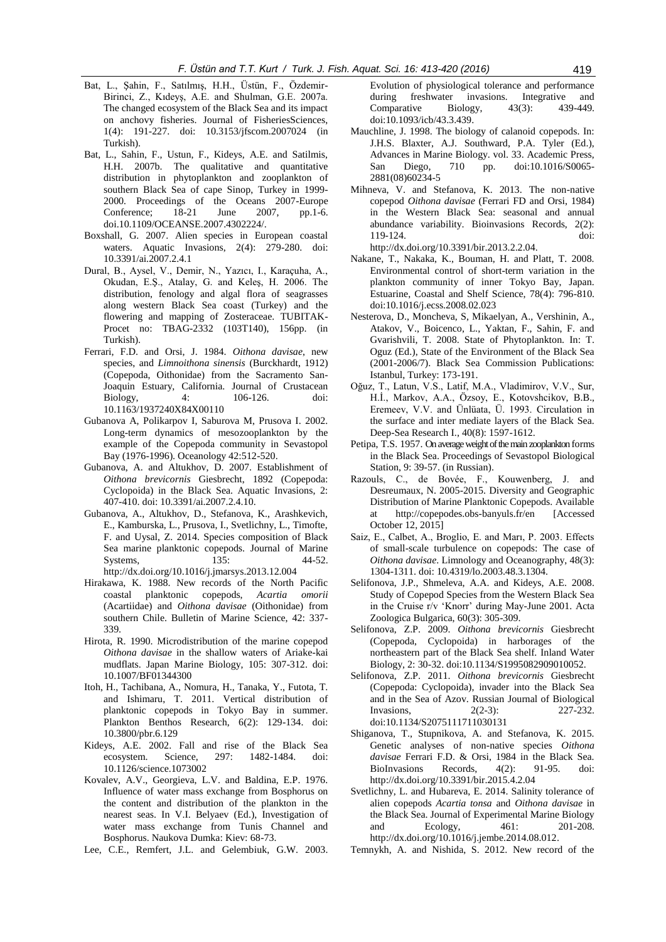- Bat, L., Şahin, F., Satılmış, H.H., Üstün, F., Özdemir-Birinci, Z., Kıdeyş, A.E. and Shulman, G.E. 2007a. The changed ecosystem of the Black Sea and its impact on anchovy fisheries. Journal of FisheriesSciences, 1(4): 191-227. doi: 10.3153/jfscom.2007024 (in Turkish).
- Bat, L., Sahin, F., Ustun, F., Kideys, A.E. and Satilmis, H.H. 2007b. The qualitative and quantitative distribution in phytoplankton and zooplankton of southern Black Sea of cape Sinop, Turkey in 1999- 2000*.* Proceedings of the Oceans 2007-Europe Conference; 18-21 June 2007, pp.1-6. doi.10.1109/OCEANSE.2007.4302224/.
- Boxshall, G. 2007. Alien species in European coastal waters. Aquatic Invasions, 2(4): 279-280. doi: 10.3391/ai.2007.2.4.1
- Dural, B., Aysel, V., Demir, N., Yazıcı, I., Karaçuha, A., Okudan, E.Ş., Atalay, G. and Keleş, H. 2006. The distribution, fenology and algal flora of seagrasses along western Black Sea coast (Turkey) and the flowering and mapping of Zosteraceae. TUBITAK-Procet no: TBAG-2332 (103T140), 156pp. (in Turkish).
- Ferrari, F.D. and Orsi, J. 1984. *Oithona davisae*, new species, and *Limnoithona sinensis* (Burckhardt, 1912) (Copepoda, Oithonidae) from the Sacramento San-Joaquin Estuary, California. Journal of Crustacean Biology, 4: 106-126. doi: 10.1163/1937240X84X00110
- Gubanova A, Polikarpov I, Saburova M, Prusova I. 2002. Long-term dynamics of mesozooplankton by the example of the Copepoda community in Sevastopol Bay (1976-1996). Oceanology 42:512-520.
- Gubanova, A. and Altukhov, D. 2007. Establishment of *Oithona brevicornis* Giesbrecht, 1892 (Copepoda: Cyclopoida) in the Black Sea. Aquatic Invasions, 2: 407-410. doi: 10.3391/ai.2007.2.4.10.
- Gubanova, A., Altukhov, D., Stefanova, K., Arashkevich, E., Kamburska, L., Prusova, I., Svetlichny, L., Timofte, F. and Uysal, Z. 2014. Species composition of Black Sea marine planktonic copepods. Journal of Marine Systems, 135: 44-52. http://dx.doi.org/10.1016/j.jmarsys.2013.12.004
- Hirakawa, K. 1988. New records of the North Pacific coastal planktonic copepods, *Acartia omorii*  (Acartiidae) and *Oithona davisae* (Oithonidae) from southern Chile. Bulletin of Marine Science, 42: 337- 339.
- Hirota, R. 1990. Microdistribution of the marine copepod *Oithona davisae* in the shallow waters of Ariake-kai mudflats. Japan Marine Biology, 105: 307-312. doi: 10.1007/BF01344300
- Itoh, H., Tachibana, A., Nomura, H., Tanaka, Y., Futota, T. and Ishimaru, T. 2011. Vertical distribution of planktonic copepods in Tokyo Bay in summer. Plankton Benthos Research, 6(2): 129-134. doi: 10.3800/pbr.6.129
- Kideys, A.E. 2002. Fall and rise of the Black Sea ecosystem. Science, 297: 1482-1484. doi: 10.1126/science.1073002
- Kovalev, A.V., Georgieva, L.V. and Baldina, E.P. 1976. Influence of water mass exchange from Bosphorus on the content and distribution of the plankton in the nearest seas. In V.I. Belyaev (Ed.), Investigation of water mass exchange from Tunis Channel and Bosphorus. Naukova Dumka: Kiev: 68-73.
- Lee, C.E., Remfert, J.L. and Gelembiuk, G.W. 2003.

Evolution of physiological tolerance and performance during freshwater invasions*.* Integrative and Comparative Biology, 43(3): 439-449. doi:10.1093/icb/43.3.439.

- Mauchline, J. 1998. The biology of calanoid copepods. In: J.H.S. Blaxter, A.J. Southward, P.A. Tyler (Ed.), Advances in Marine Biology. vol. 33. Academic Press, San Diego, 710 pp. doi:10.1016/S0065- 2881(08)60234-5
- Mihneva, V. and Stefanova, K. 2013. The non-native copepod *Oithona davisae* (Ferrari FD and Orsi, 1984) in the Western Black Sea: seasonal and annual abundance variability. Bioinvasions Records, 2(2): 119-124. doi:

http://dx.doi.org/10.3391/bir.2013.2.2.04.

- Nakane, T., Nakaka, K., Bouman, H. and Platt, T. 2008. Environmental control of short-term variation in the plankton community of inner Tokyo Bay, Japan. Estuarine, Coastal and Shelf Science, 78(4): 796-810. doi:10.1016/j.ecss.2008.02.023
- Nesterova, D., Moncheva, S, Mikaelyan, A., Vershinin, A., Atakov, V., Boicenco, L., Yaktan, F., Sahin, F. and Gvarishvili, T. 2008. State of Phytoplankton. In: T. Oguz (Ed.), State of the Environment of the Black Sea (2001-2006/7). Black Sea Commission Publications: Istanbul, Turkey: 173-191.
- Oğuz, T., Latun, V.S., Latif, M.A., Vladimirov, V.V., Sur, H.İ., Markov, A.A., Özsoy, E., Kotovshcikov, B.B., Eremeev, V.V. and Ünlüata, Ü. 1993. Circulation in the surface and inter mediate layers of the Black Sea. Deep-Sea Research I., 40(8): 1597-1612.
- Petipa, T.S. 1957. On average weight of the main zooplankton forms in the Black Sea. Proceedings of Sevastopol Biological Station, 9: 39-57. (in Russian).
- Razouls, C., de Bovée, F., Kouwenberg, J. and Desreumaux, N. 2005-2015. Diversity and Geographic Distribution of Marine Planktonic Copepods. Available at http://copepodes.obs-banyuls.fr/en [Accessed October 12, 2015]
- Saiz, E., Calbet, A., Broglio, E. and Marı, P. 2003. Effects of small-scale turbulence on copepods: The case of *Oithona davisae*. Limnology and Oceanography, 48(3): 1304-1311. doi: 10.4319/lo.2003.48.3.1304.
- Selifonova, J.P., Shmeleva, A.A. and Kideys, A.E. 2008. Study of Copepod Species from the Western Black Sea in the Cruise r/v 'Knorr' during May-June 2001. Acta Zoologica Bulgarica, 60(3): 305-309.
- Selifonova, Z.P. 2009. *Oithona brevicornis* Giesbrecht (Copepoda, Cyclopoida) in harborages of the northeastern part of the Black Sea shelf. Inland Water Biology, 2: 30-32. doi:10.1134/S1995082909010052.
- Selifonova, Z.P. 2011. *Oithona brevicornis* Giesbrecht (Copepoda: Cyclopoida), invader into the Black Sea and in the Sea of Azov. Russian Journal of Biological Invasions, 2(2-3): 227-232. doi:10.1134/S2075111711030131
- Shiganova, T., Stupnikova, A. and Stefanova, K. 2015. Genetic analyses of non-native species *Oithona davisae* Ferrari F.D. & Orsi, 1984 in the Black Sea. BioInvasions Records, 4(2): 91-95. doi: http://dx.doi.org/10.3391/bir.2015.4.2.04
- Svetlichny, L. and Hubareva, E. 2014. Salinity tolerance of alien copepods *Acartia tonsa* and *Oithona davisae* in the Black Sea. Journal of Experimental Marine Biology and Ecology, 461: 201-208. [http://dx.doi.org/10.1016/j.jembe.2014.08.012.](http://dx.doi.org/10.1016/j.jembe.2014.08.012)
- Temnykh, A. and Nishida, S. 2012. New record of the